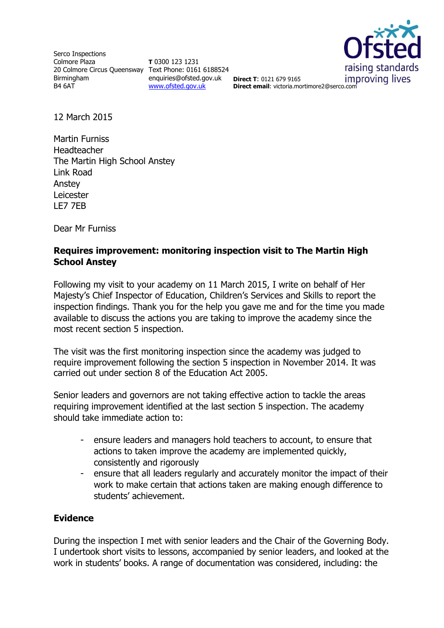Serco Inspections Colmore Plaza 20 Colmore Circus Queensway Text Phone: 0161 6188524 Birmingham B4 6AT

**T** 0300 123 1231 enquiries@ofsted.gov.uk **Direct T**: 0121 679 9165 [www.ofsted.gov.uk](http://www.ofsted.gov.uk/)



**Direct email**: victoria.mortimore2@serco.com

12 March 2015

Martin Furniss Headteacher The Martin High School Anstey Link Road Anstey Leicester LE7 7EB

Dear Mr Furniss

## **Requires improvement: monitoring inspection visit to The Martin High School Anstey**

Following my visit to your academy on 11 March 2015, I write on behalf of Her Majesty's Chief Inspector of Education, Children's Services and Skills to report the inspection findings. Thank you for the help you gave me and for the time you made available to discuss the actions you are taking to improve the academy since the most recent section 5 inspection.

The visit was the first monitoring inspection since the academy was judged to require improvement following the section 5 inspection in November 2014. It was carried out under section 8 of the Education Act 2005.

Senior leaders and governors are not taking effective action to tackle the areas requiring improvement identified at the last section 5 inspection. The academy should take immediate action to:

- ensure leaders and managers hold teachers to account, to ensure that actions to taken improve the academy are implemented quickly, consistently and rigorously
- ensure that all leaders regularly and accurately monitor the impact of their work to make certain that actions taken are making enough difference to students' achievement.

## **Evidence**

During the inspection I met with senior leaders and the Chair of the Governing Body. I undertook short visits to lessons, accompanied by senior leaders, and looked at the work in students' books. A range of documentation was considered, including: the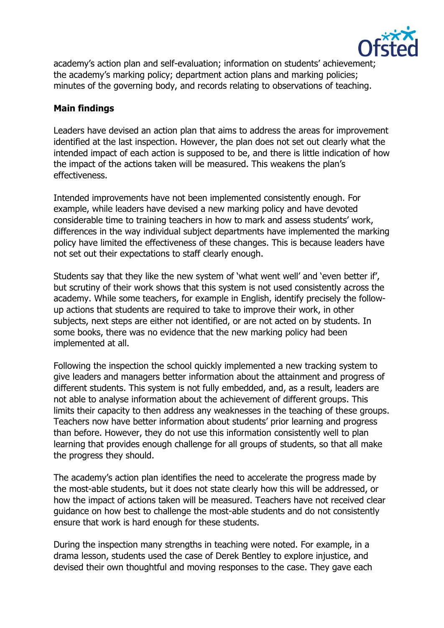

academy's action plan and self-evaluation; information on students' achievement; the academy's marking policy; department action plans and marking policies; minutes of the governing body, and records relating to observations of teaching.

## **Main findings**

Leaders have devised an action plan that aims to address the areas for improvement identified at the last inspection. However, the plan does not set out clearly what the intended impact of each action is supposed to be, and there is little indication of how the impact of the actions taken will be measured. This weakens the plan's effectiveness.

Intended improvements have not been implemented consistently enough. For example, while leaders have devised a new marking policy and have devoted considerable time to training teachers in how to mark and assess students' work, differences in the way individual subject departments have implemented the marking policy have limited the effectiveness of these changes. This is because leaders have not set out their expectations to staff clearly enough.

Students say that they like the new system of 'what went well' and 'even better if', but scrutiny of their work shows that this system is not used consistently across the academy. While some teachers, for example in English, identify precisely the followup actions that students are required to take to improve their work, in other subjects, next steps are either not identified, or are not acted on by students. In some books, there was no evidence that the new marking policy had been implemented at all.

Following the inspection the school quickly implemented a new tracking system to give leaders and managers better information about the attainment and progress of different students. This system is not fully embedded, and, as a result, leaders are not able to analyse information about the achievement of different groups. This limits their capacity to then address any weaknesses in the teaching of these groups. Teachers now have better information about students' prior learning and progress than before. However, they do not use this information consistently well to plan learning that provides enough challenge for all groups of students, so that all make the progress they should.

The academy's action plan identifies the need to accelerate the progress made by the most-able students, but it does not state clearly how this will be addressed, or how the impact of actions taken will be measured. Teachers have not received clear guidance on how best to challenge the most-able students and do not consistently ensure that work is hard enough for these students.

During the inspection many strengths in teaching were noted. For example, in a drama lesson, students used the case of Derek Bentley to explore injustice, and devised their own thoughtful and moving responses to the case. They gave each